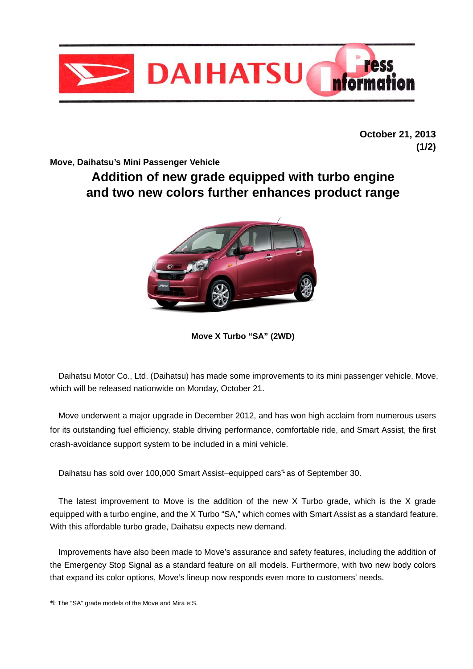

**October 21, 2013 (1/2)** 

**Move, Daihatsu's Mini Passenger Vehicle** 

# **Addition of new grade equipped with turbo engine and two new colors further enhances product range**



**Move X Turbo "SA" (2WD)** 

 Daihatsu Motor Co., Ltd. (Daihatsu) has made some improvements to its mini passenger vehicle, Move, which will be released nationwide on Monday, October 21.

 Move underwent a major upgrade in December 2012, and has won high acclaim from numerous users for its outstanding fuel efficiency, stable driving performance, comfortable ride, and Smart Assist, the first crash-avoidance support system to be included in a mini vehicle.

Daihatsu has sold over 100,000 Smart Assist–equipped cars<sup>1</sup> as of September 30.

 The latest improvement to Move is the addition of the new X Turbo grade, which is the X grade equipped with a turbo engine, and the X Turbo "SA," which comes with Smart Assist as a standard feature. With this affordable turbo grade, Daihatsu expects new demand.

 Improvements have also been made to Move's assurance and safety features, including the addition of the Emergency Stop Signal as a standard feature on all models. Furthermore, with two new body colors that expand its color options, Move's lineup now responds even more to customers' needs.

\*1: The "SA" grade models of the Move and Mira e:S.